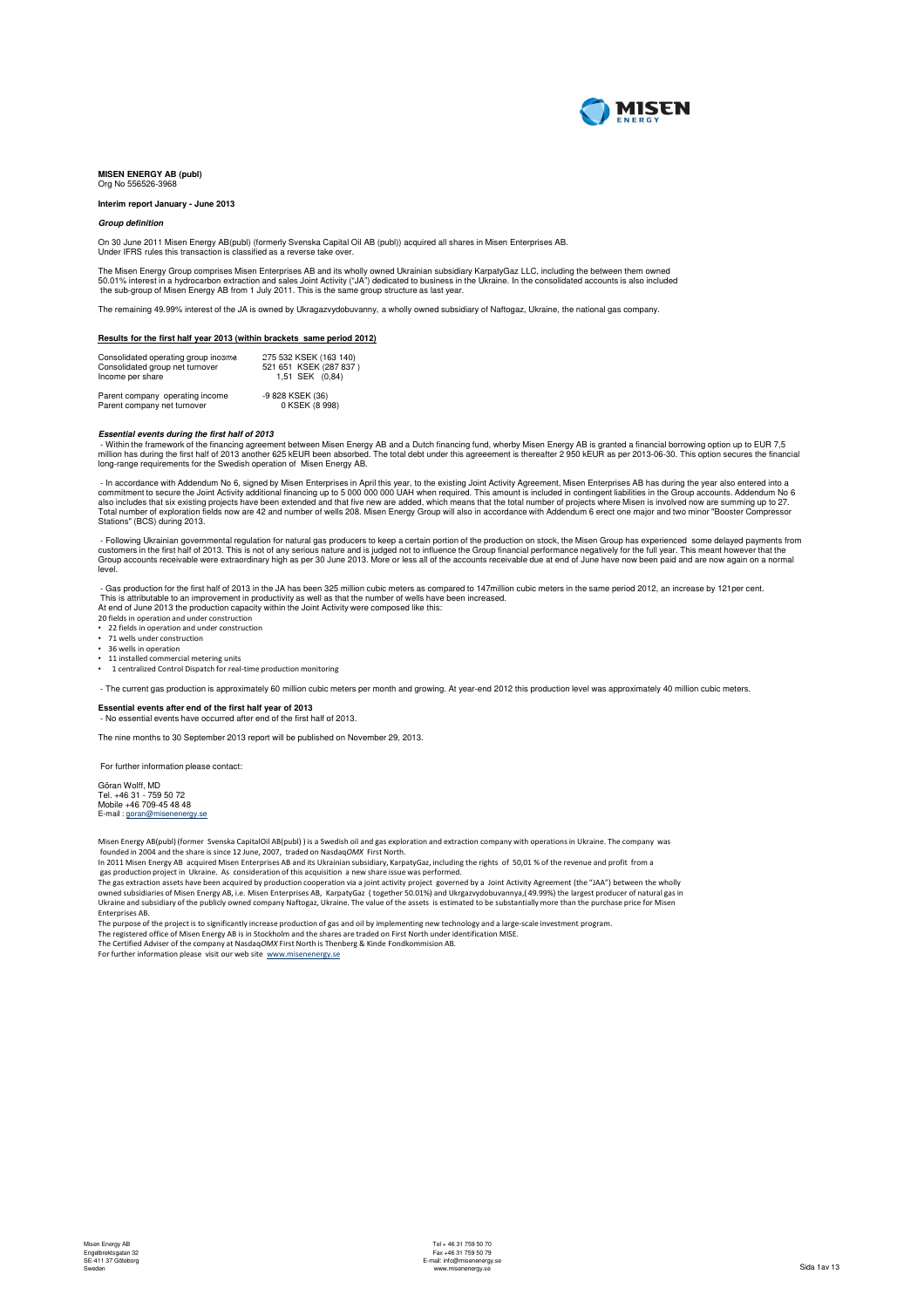

### **MISEN ENERGY AB (publ)** Org No 556526-3968

### **Interim report January - June 2013**

### **Group definition**

On 30 June 2011 Misen Energy AB(publ) (formerly Svenska Capital Oil AB (publ)) acquired all shares in Misen Enterprises AB. Under IFRS rules this transaction is classified as a reverse take over.

The Misen Energy Group comprises Misen Enterprises AB and its wholly owned Ukrainian subsidiary KarpatyGaz LLC, including the between them owned 50.01% interest in a hydrocarbon extraction and sales Joint Activity ("JA") dedicated to business in the Ukraine. In the consolidated accounts is also included<br>the sub-group of Misen Energy AB from 1 July 2011. This is the

The remaining 49.99% interest of the JA is owned by Ukragazvydobuvanny, a wholly owned subsidiary of Naftogaz, Ukraine, the national gas company.

### **Results for the first half year 2013 (within brackets same period 2012)**

| Consolidated operating group income | 275 532 KSEK (163 140) |
|-------------------------------------|------------------------|
| Consolidated group net turnover     | 521 651 KSEK (287 837) |
| Income per share                    | 1.51 SEK (0.84)        |
| Parent company operating income     | -9 828 KSEK (36)       |
| Parent company net turnover         | 0 KSEK (8 998)         |

Essential events during the first half of 2013<br>- Within the framework of the financing agreement between Misen Energy AB and a Dutch financing fund, wherby Misen Energy AB is granted a financial borrowing option up to EUR long-range requirements for the Swedish operation of Misen Energy AB.

haccordance with Addendum No 6, signed by Misen Enterprises in April this year, to the existing Joint Activity Agreement, Misen Enterprises AB has during the year also entered into a<br>commitment to secure the Joint Activity Stations" (BCS) during 2013.

- Following Ukrainian governmental regulation for natural gas producers to keep a certain portion of the production on stock, the Misen Group has experienced some delayed payments from<br>customers in the first half of 2013. level.

- Gas production for the first half of 2013 in the JA has been 325 million cubic meters as compared to 147million cubic meters in the same period 2012, an increase by 121per cent.<br>This is attributable to an improvement in

At end of June 2013 the production capacity within the Joint Activity were composed like this:<br>20 fields in operation and under construction<br>• 22 fields in operation and under construction

• 71 wells under construction

• 36 wells in operation

• 11 installed commercial metering units

• 1 centralized Control Dispatch for real-time production monitoring

- The current gas production is approximately 60 million cubic meters per month and growing. At year-end 2012 this production level was approximately 40 million cubic meters.

**Essential events after end of the first half year of 2013** - No essential events have occurred after end of the first half of 2013.

The nine months to 30 September 2013 report will be published on November 29, 2013.

For further information please contact:

Göran Wolff, MD Tel. +46 31 - 759 50 72 Mobile +46 709-45 48 48 E-mail : goran@mise

Misen Energy AB(publ) (former Svenska CapitalOil AB(publ) ) is a Swedish oil and gas exploration and extraction company with operations in Ukraine. The company was founded in 2004 and the share is since 12 June, 2007, traded on NasdaqOMX First North.

In 2011 Misen Energy AB acquired Misen Enterprises AB and its Ukrainian subsidiary, KarpatyGaz, including the rights of 50,01 % of the revenue and profit from a<br>gas production project in Ukraine. As consideration of his ac owned subsidiaries of Misen Energy AB, i.e. Misen Enterprises AB, KarpatyGaz (together 50.01%) and Ukrgazvydobuvannya,(49.99%) the largest producer of natural gas in<br>Ukraine and subsidiary of the publicly owned company Naf Enterprises AB.

The purpose of the project is to significantly increase production of gas and oil by implementing new technology and a large-scale investment program.<br>The registered office of Misen Energy AB is in Stockholm and the shares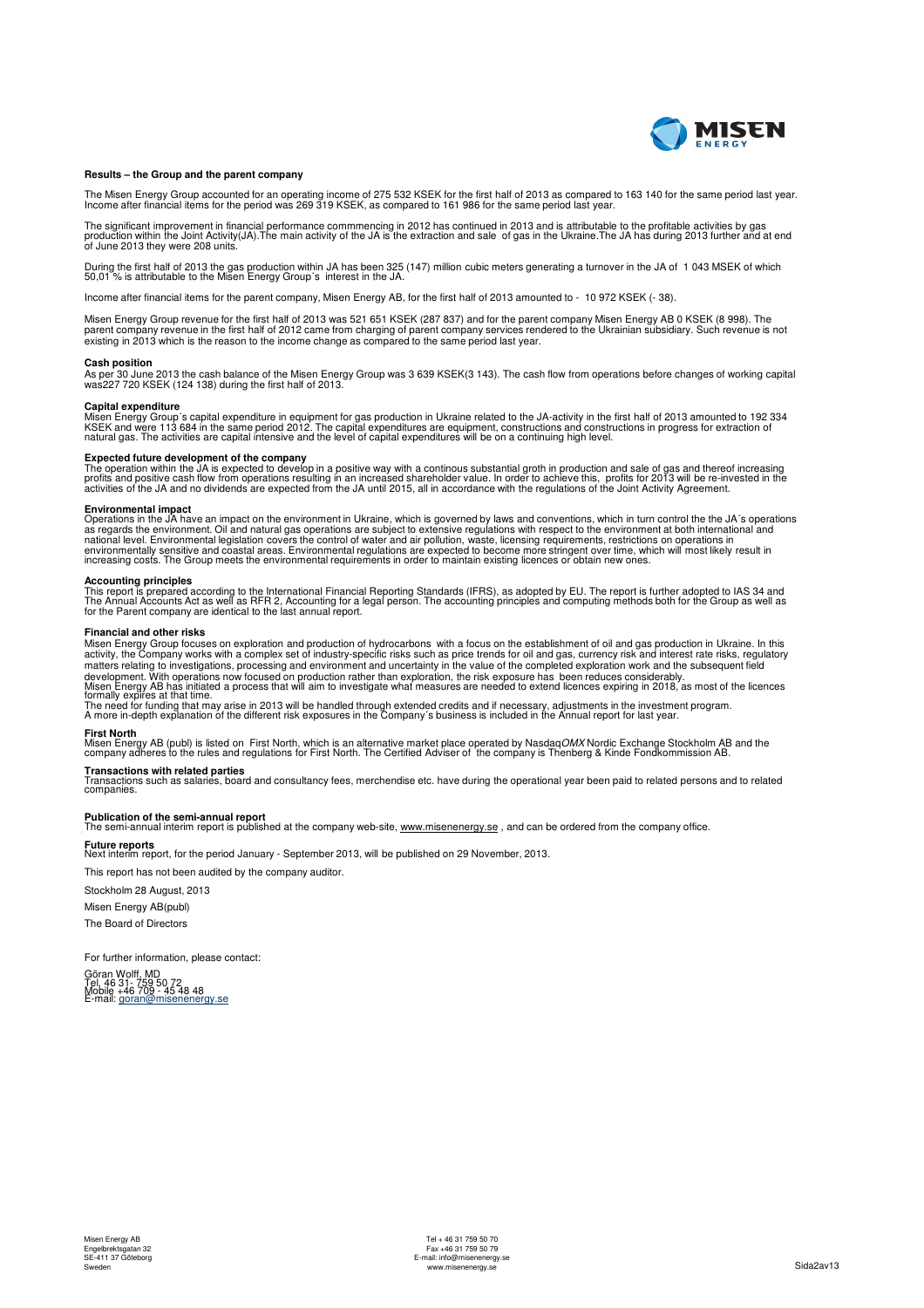

### **Results – the Group and the parent company**

The Misen Energy Group accounted for an operating income of 275 532 KSEK for the first half of 2013 as compared to 163 140 for the same period last year.<br>Income after financial items for the period was 269 319 KSEK, as com

The significant improvement in financial performance commmencing in 2012 has continued in 2013 and is attributable to the profitable activities by gas<br>production within the Joint Activity(JA).The main activity of the JA is

During the first half of 2013 the gas production within JA has been 325 (147) million cubic meters generating a turnover in the JA of 1 043 MSEK of which<br>50,01 % is attributable to the Misen Energy Group´s interest in th

Income after financial items for the parent company, Misen Energy AB, for the first half of 2013 amounted to - 10 972 KSEK (- 38).

Misen Energy Group revenue for the first half of 2013 was 521 651 KSEK (287 837) and for the parent company Misen Energy AB 0 KSEK (8 998). The parent company revenue in the first half of 2012 came from charging of parent company services rendered to the Ukrainian subsidiary. Such revenue is not<br>existing in 2013 which is the reason to the income change as compared

### **Cash position**

As per 30 June 2013 the cash balance of the Misen Energy Group was 3 639 KSEK(3 143). The cash flow from operations before changes of working capital was227 720 KSEK (124 138) during the first half of 2013.

### **Capital expenditure**

Misen Energy Group's capital expenditure in equipment for gas production in Ukraine related to the JA-activity in the first half of 2013 amounted to 192 334<br>KSEK and were 113 684 in the same period 2012. The capital expend

**Expected future development of the company**<br>The operation within the JA is expected to develop in a positive way with a continous substantial groth in production and sale of gas and thereof increasing<br>profits and positive

**Environmental impact**<br>Operations in the JA have an impact on the environment in Ukraine, which is governed by laws and conventions, which in turn control the the JA's operations<br>Operations in the JA have an impact on the

**Accounting principles**<br>This report is prepared according to the International Financial Reporting Standards (IFRS), as adopted by EU. The report is further adopted to IAS 34 and<br>The Annual Accounts Act as well as RFR 2, A

### **Financial and other risks**

Misen Energy Group focuses on exploration and production of hydrocarbons with a focus on the establishment of oil and gas production in Ukraine. In this<br>activity, the Company works with a complex set of industry-specific r matters relating to investigations, processing and environment and uncertainty in the value of the completed exploration work and the subsequent field<br>development. With operations now focused on production rather than expl

**First North**<br>Misen Energy AB (publ) is listed on First North, which is an alternative market place operated by Nasdaq*OMX* Nordic Exchange Stockholm AB and the<br>company adheres to the rules and regulations for First North.

**Transactions with related parties**<br>Transactions such as salaries, board and consultancy fees, merchendise etc. have during the operational year been paid to related persons and to related<br>companies.

**Publication of the semi-annual report**<br>The semi-annual interim report is published at the company web-site, www.misenenergy.se **Publication of the semi-annual report** The semi-annual interim report is published at the company web-site, www.misenenergy.se , and can be ordered from the company office.

**Future reports** Next interim report, for the period January - September 2013, will be published on 29 November, 2013.

This report has not been audited by the company auditor.

Stockholm 28 August, 2013 Misen Energy AB(publ)

The Board of Directors

For further information, please contact:

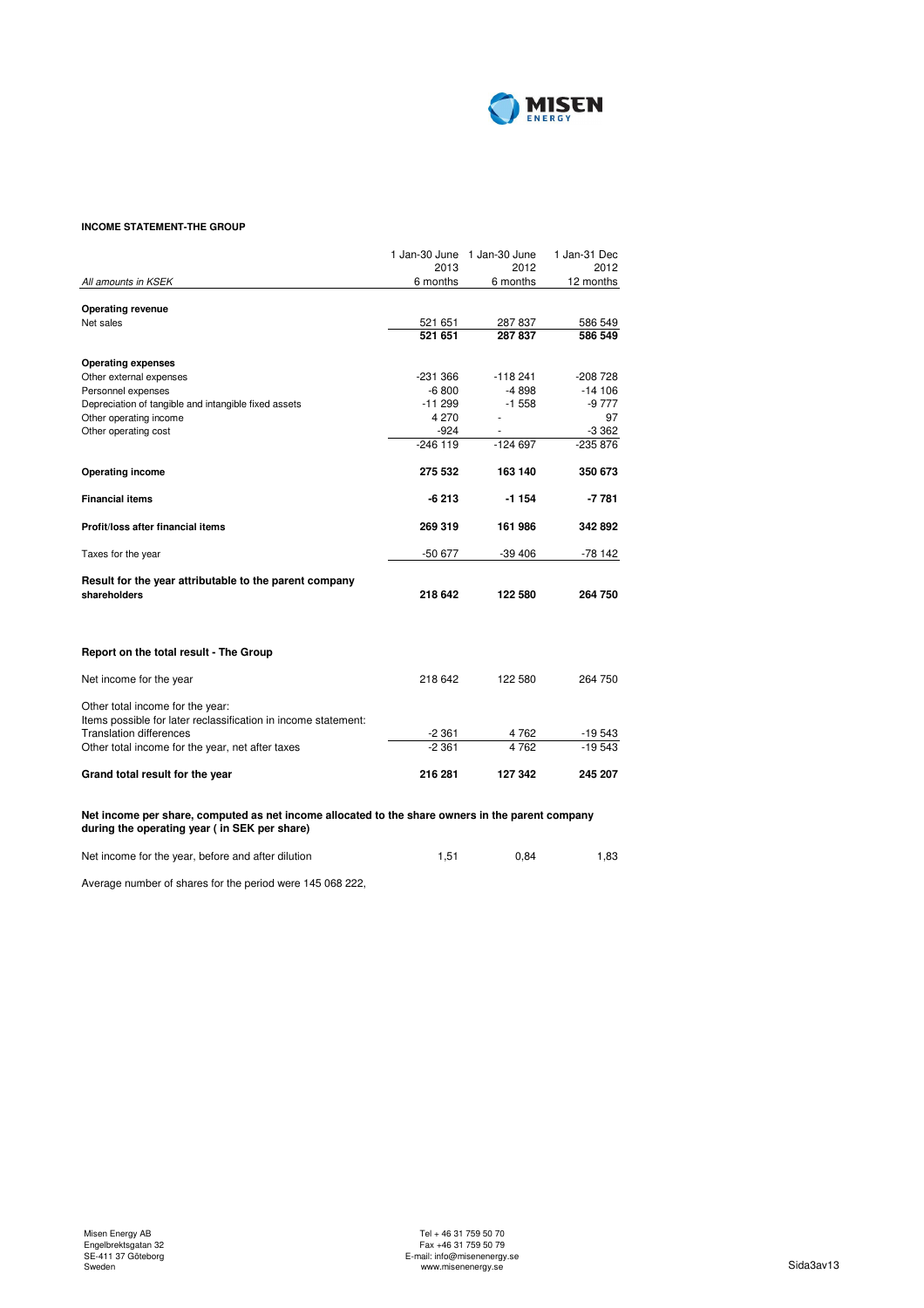

## **INCOME STATEMENT-THE GROUP**

|                                                                                                                                                  |            | 1 Jan-30 June 1 Jan-30 June | 1 Jan-31 Dec |
|--------------------------------------------------------------------------------------------------------------------------------------------------|------------|-----------------------------|--------------|
|                                                                                                                                                  | 2013       | 2012                        | 2012         |
| All amounts in KSEK                                                                                                                              | 6 months   | 6 months                    | 12 months    |
| <b>Operating revenue</b>                                                                                                                         |            |                             |              |
| Net sales                                                                                                                                        | 521 651    | 287 837                     | 586 549      |
|                                                                                                                                                  | 521 651    | 287837                      | 586 549      |
|                                                                                                                                                  |            |                             |              |
| <b>Operating expenses</b>                                                                                                                        |            |                             |              |
| Other external expenses                                                                                                                          | -231 366   | $-118241$                   | $-208728$    |
| Personnel expenses                                                                                                                               | $-6800$    | -4 898                      | $-14106$     |
| Depreciation of tangible and intangible fixed assets                                                                                             | $-11299$   | $-1558$                     | -9 777       |
| Other operating income                                                                                                                           | 4 2 7 0    |                             | 97           |
| Other operating cost                                                                                                                             | $-924$     |                             | -3 362       |
|                                                                                                                                                  | $-246$ 119 | $-124697$                   | -235 876     |
|                                                                                                                                                  | 275 532    | 163 140                     | 350 673      |
| <b>Operating income</b>                                                                                                                          |            |                             |              |
| <b>Financial items</b>                                                                                                                           | $-6213$    | $-1154$                     | $-7781$      |
| Profit/loss after financial items                                                                                                                | 269 319    | 161986                      | 342 892      |
| Taxes for the year                                                                                                                               | -50 677    | $-39406$                    | -78 142      |
| Result for the year attributable to the parent company                                                                                           |            |                             |              |
| shareholders                                                                                                                                     | 218 642    | 122 580                     | 264 750      |
|                                                                                                                                                  |            |                             |              |
| Report on the total result - The Group                                                                                                           |            |                             |              |
| Net income for the year                                                                                                                          | 218 642    | 122 580                     | 264 750      |
| Other total income for the year:                                                                                                                 |            |                             |              |
| Items possible for later reclassification in income statement:                                                                                   |            |                             |              |
| <b>Translation differences</b>                                                                                                                   | $-2361$    | 4762                        | -19 543      |
| Other total income for the year, net after taxes                                                                                                 | $-2.361$   | 4762                        | $-19543$     |
| Grand total result for the year                                                                                                                  | 216 281    | 127 342                     | 245 207      |
|                                                                                                                                                  |            |                             |              |
| Net income per share, computed as net income allocated to the share owners in the parent company<br>during the operating year (in SEK per share) |            |                             |              |
| Net income for the year, before and after dilution                                                                                               | 1,51       | 0,84                        | 1,83         |

Average number of shares for the period were 145 068 222,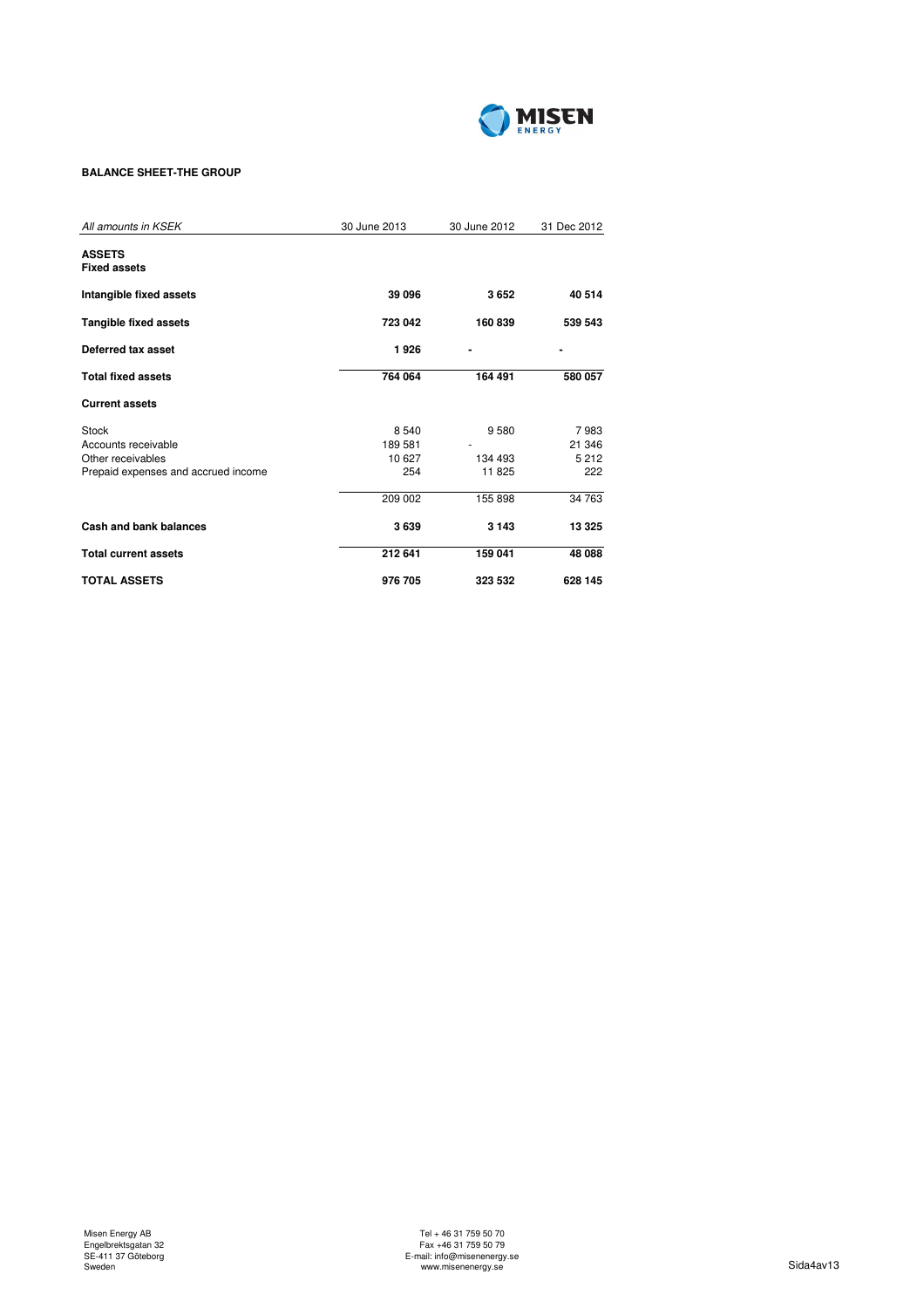

## **BALANCE SHEET-THE GROUP**

| All amounts in KSEK                                                                      | 30 June 2013                       | 30 June 2012              | 31 Dec 2012                      |
|------------------------------------------------------------------------------------------|------------------------------------|---------------------------|----------------------------------|
| <b>ASSETS</b><br><b>Fixed assets</b>                                                     |                                    |                           |                                  |
| Intangible fixed assets                                                                  | 39 096                             | 3652                      | 40 514                           |
| <b>Tangible fixed assets</b>                                                             | 723 042                            | 160 839                   | 539 543                          |
| Deferred tax asset                                                                       | 1926                               |                           |                                  |
| <b>Total fixed assets</b>                                                                | 764 064                            | 164 491                   | 580 057                          |
| <b>Current assets</b>                                                                    |                                    |                           |                                  |
| Stock<br>Accounts receivable<br>Other receivables<br>Prepaid expenses and accrued income | 8 5 4 0<br>189581<br>10 627<br>254 | 9580<br>134 493<br>11 825 | 7983<br>21 346<br>5 2 1 2<br>222 |
|                                                                                          | 209 002                            | 155 898                   | 34 763                           |
| Cash and bank balances                                                                   | 3639                               | 3 1 4 3                   | 13 3 25                          |
| <b>Total current assets</b>                                                              | 212 641                            | 159 041                   | 48 088                           |
| <b>TOTAL ASSETS</b>                                                                      | 976 705                            | 323 532                   | 628 145                          |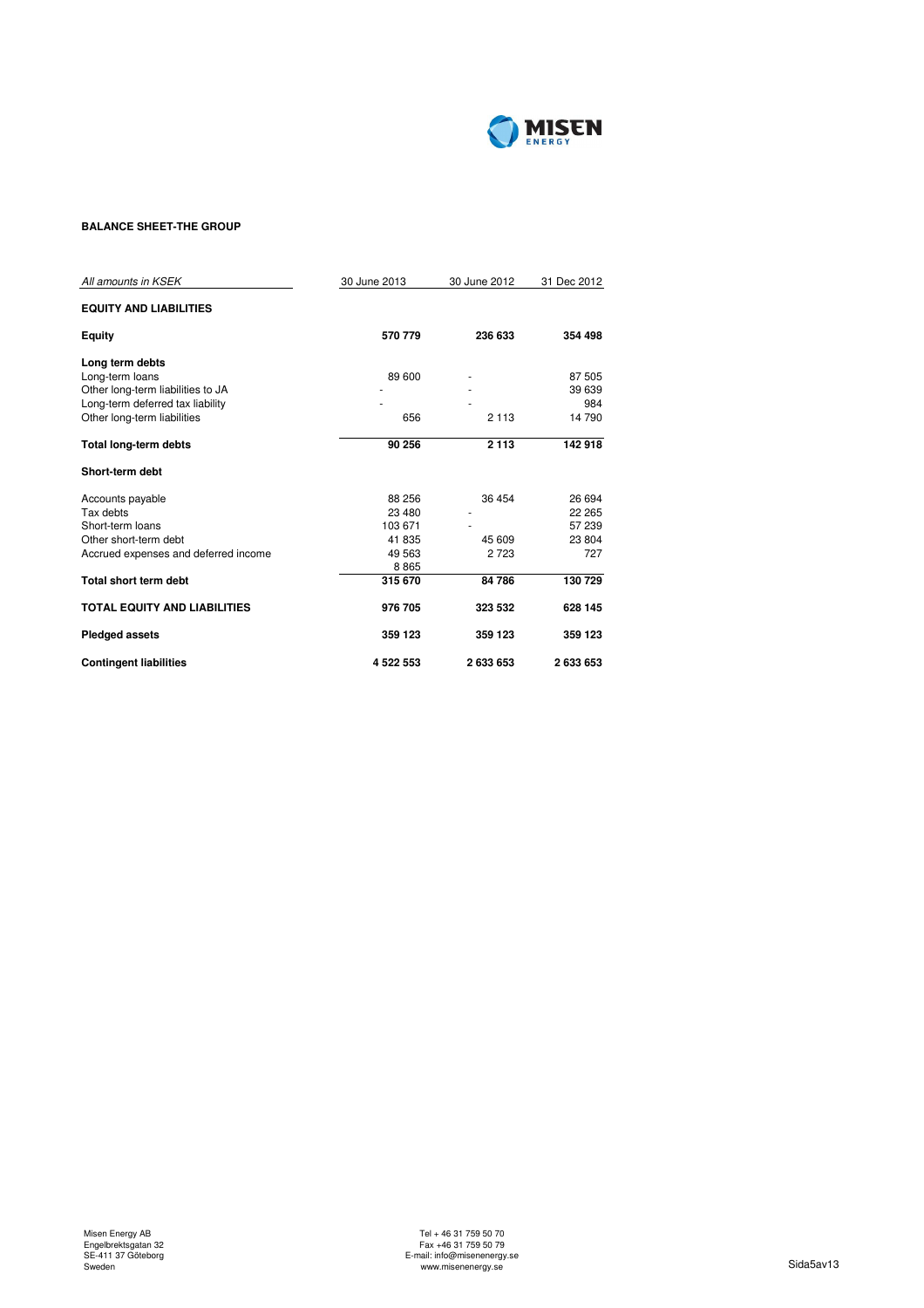

## **BALANCE SHEET-THE GROUP**

| All amounts in KSEK                  | 30 June 2013 | 30 June 2012 | 31 Dec 2012 |
|--------------------------------------|--------------|--------------|-------------|
| <b>EQUITY AND LIABILITIES</b>        |              |              |             |
| <b>Equity</b>                        | 570 779      | 236 633      | 354 498     |
| Long term debts                      |              |              |             |
| Long-term loans                      | 89 600       |              | 87 505      |
| Other long-term liabilities to JA    |              |              | 39 639      |
| Long-term deferred tax liability     |              |              | 984         |
| Other long-term liabilities          | 656          | 2 1 1 3      | 14 790      |
| <b>Total long-term debts</b>         | 90 256       | 2 1 1 3      | 142918      |
| Short-term debt                      |              |              |             |
| Accounts payable                     | 88 256       | 36 454       | 26 694      |
| Tax debts                            | 23 480       |              | 22 265      |
| Short-term loans                     | 103 671      |              | 57 239      |
| Other short-term debt                | 41 835       | 45 609       | 23 804      |
| Accrued expenses and deferred income | 49 5 63      | 2 7 2 3      | 727         |
|                                      | 8865         |              |             |
| Total short term debt                | 315 670      | 84 786       | 130 729     |
| <b>TOTAL EQUITY AND LIABILITIES</b>  | 976 705      | 323 532      | 628 145     |
| <b>Pledged assets</b>                | 359 123      | 359 123      | 359 123     |
| <b>Contingent liabilities</b>        | 4522553      | 2633653      | 2633653     |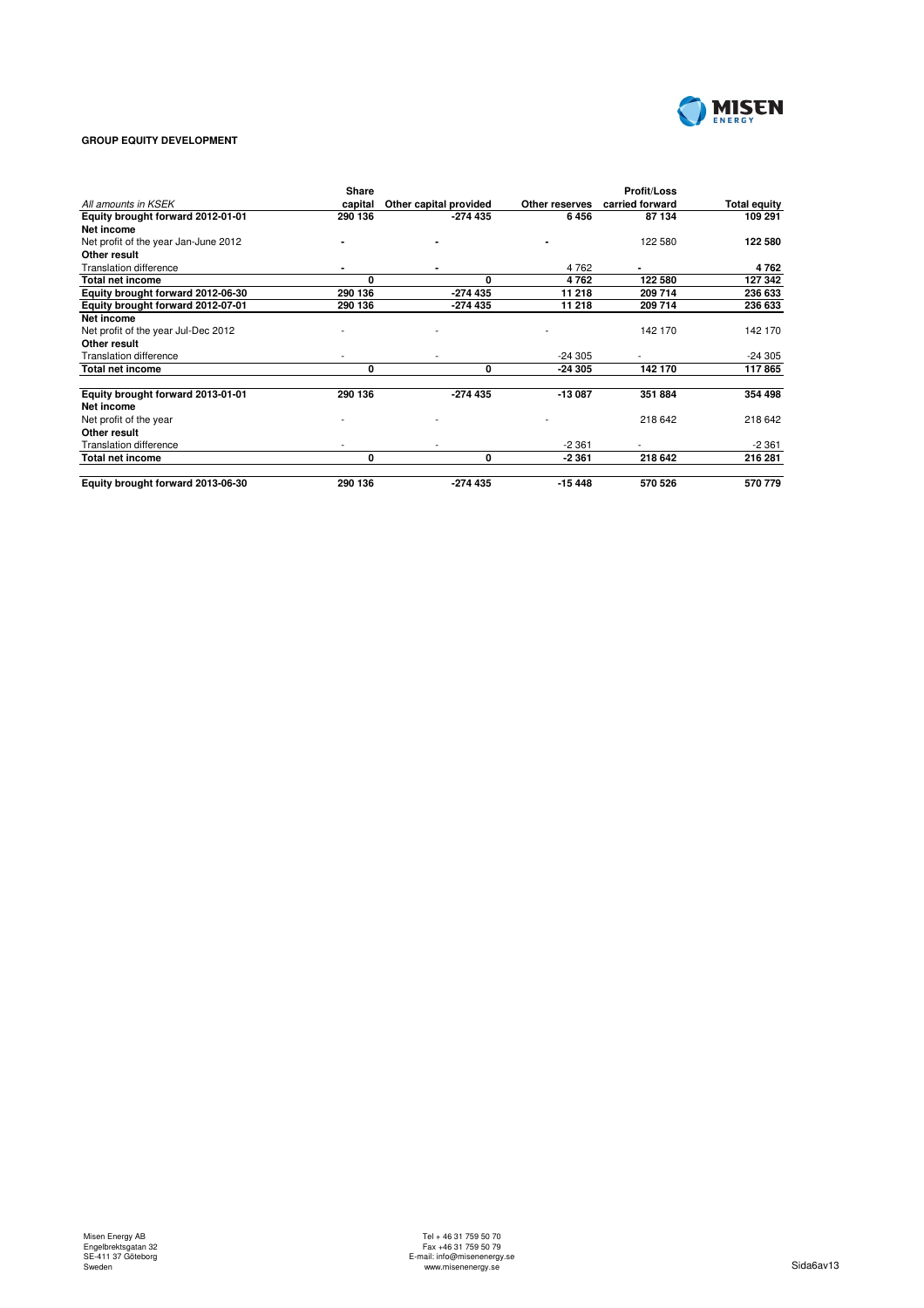

## **GROUP EQUITY DEVELOPMENT**

|                                      | Share   |                        |                | <b>Profit/Loss</b> |                     |
|--------------------------------------|---------|------------------------|----------------|--------------------|---------------------|
| All amounts in KSEK                  | capital | Other capital provided | Other reserves | carried forward    | <b>Total equity</b> |
| Equity brought forward 2012-01-01    | 290 136 | -274 435               | 6456           | 87 134             | 109 291             |
| Net income                           |         |                        |                |                    |                     |
| Net profit of the year Jan-June 2012 |         |                        |                | 122 580            | 122 580             |
| Other result                         |         |                        |                |                    |                     |
| <b>Translation difference</b>        |         |                        | 4762           | $\blacksquare$     | 4762                |
| <b>Total net income</b>              | O       | O                      | 4762           | 122 580            | 127 342             |
| Equity brought forward 2012-06-30    | 290 136 | $-274435$              | 11 218         | 209 714            | 236 633             |
| Equity brought forward 2012-07-01    | 290 136 | -274 435               | 11 218         | 209 714            | 236 633             |
| Net income                           |         |                        |                |                    |                     |
| Net profit of the year Jul-Dec 2012  |         |                        |                | 142 170            | 142 170             |
| Other result                         |         |                        |                |                    |                     |
| <b>Translation difference</b>        |         |                        | $-24305$       |                    | $-24305$            |
| <b>Total net income</b>              | 0       | 0                      | -24 305        | 142 170            | 117865              |
| Equity brought forward 2013-01-01    | 290 136 | $-274435$              | $-13087$       | 351 884            | 354 498             |
| Net income                           |         |                        |                |                    |                     |
| Net profit of the year               |         |                        |                | 218 642            | 218 642             |
| Other result                         |         |                        |                |                    |                     |
| <b>Translation difference</b>        |         |                        | $-2.361$       |                    | $-2361$             |
| Total net income                     | 0       | 0                      | $-2361$        | 218 642            | 216 281             |
| Equity brought forward 2013-06-30    | 290 136 | $-274435$              | $-15448$       | 570 526            | 570 779             |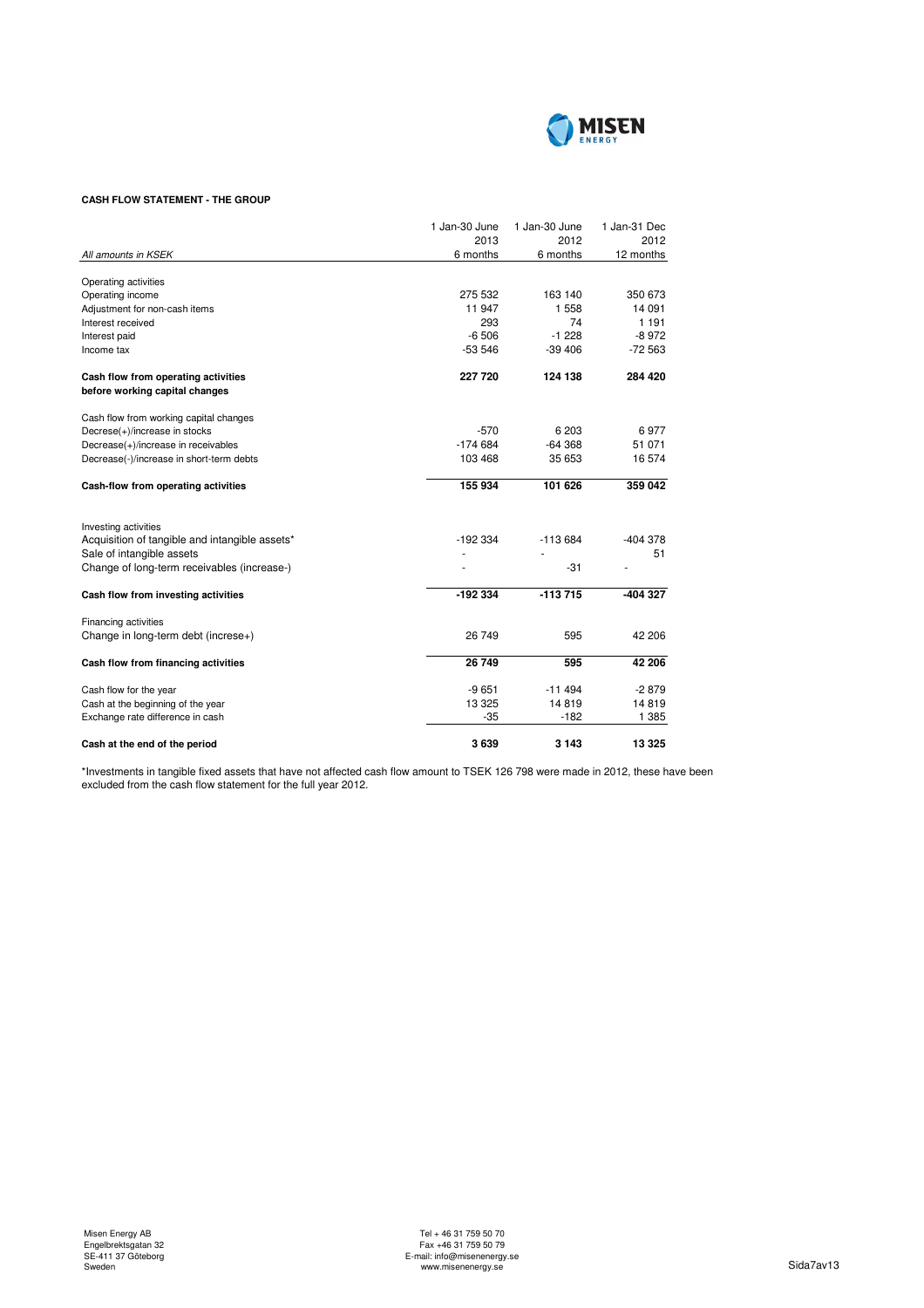

## **CASH FLOW STATEMENT - THE GROUP**

|                                                | 1 Jan-30 June | 1 Jan-30 June | 1 Jan-31 Dec |
|------------------------------------------------|---------------|---------------|--------------|
|                                                | 2013          | 2012          | 2012         |
| All amounts in KSEK                            | 6 months      | 6 months      | 12 months    |
| Operating activities                           |               |               |              |
| Operating income                               | 275 532       | 163 140       | 350 673      |
| Adjustment for non-cash items                  | 11 947        | 1 5 5 8       | 14 091       |
| Interest received                              | 293           | 74            | 1 1 9 1      |
| Interest paid                                  | $-6506$       | $-1228$       | $-8972$      |
| Income tax                                     | $-53546$      | $-39406$      | $-72563$     |
| Cash flow from operating activities            | 227 720       | 124 138       | 284 420      |
| before working capital changes                 |               |               |              |
| Cash flow from working capital changes         |               |               |              |
| Decrese(+)/increase in stocks                  | $-570$        | 6 203         | 6977         |
| Decrease(+)/increase in receivables            | $-174684$     | $-64368$      | 51 071       |
| Decrease(-)/increase in short-term debts       | 103 468       | 35 653        | 16 574       |
| Cash-flow from operating activities            | 155 934       | 101 626       | 359 042      |
|                                                |               |               |              |
| Investing activities                           |               |               |              |
| Acquisition of tangible and intangible assets* | $-192334$     | $-113684$     | -404 378     |
| Sale of intangible assets                      |               |               | 51           |
| Change of long-term receivables (increase-)    |               | $-31$         |              |
| Cash flow from investing activities            | -192 334      | $-113715$     | -404 327     |
| Financing activities                           |               |               |              |
| Change in long-term debt (increse+)            | 26 749        | 595           | 42 206       |
| Cash flow from financing activities            | 26 749        | 595           | 42 206       |
|                                                |               |               |              |
| Cash flow for the year                         | $-9651$       | $-11494$      | $-2879$      |
| Cash at the beginning of the year              | 13 3 25       | 14819         | 14819        |
| Exchange rate difference in cash               | $-35$         | $-182$        | 1 3 8 5      |
| Cash at the end of the period                  | 3639          | 3 1 4 3       | 13 3 25      |

\*Investments in tangible fixed assets that have not affected cash flow amount to TSEK 126 798 were made in 2012, these have been excluded from the cash flow statement for the full year 2012.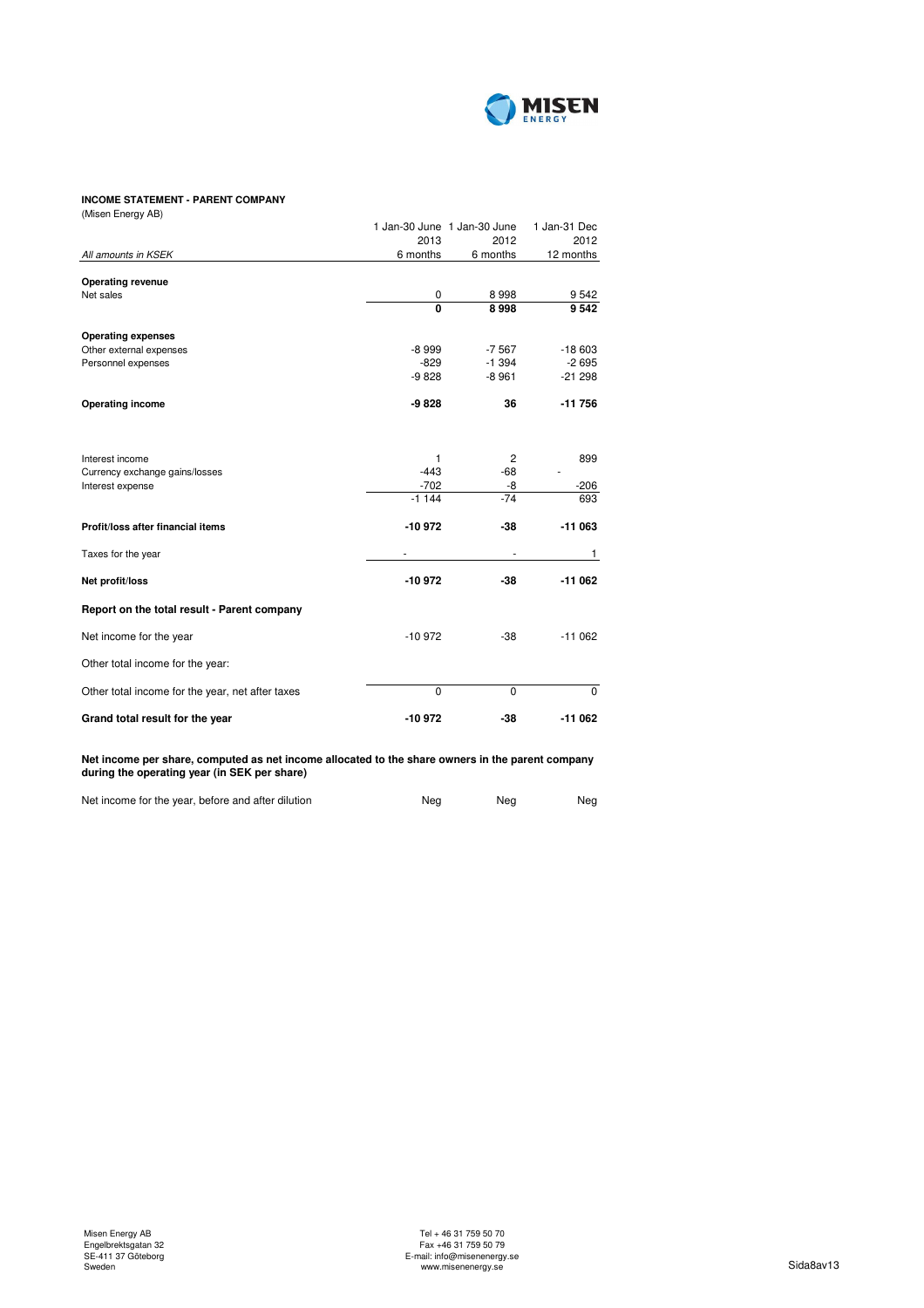

## **INCOME STATEMENT - PARENT COMPANY**

| (Misen Energy AB)                                |                         |                             |              |
|--------------------------------------------------|-------------------------|-----------------------------|--------------|
|                                                  |                         | 1 Jan-30 June 1 Jan-30 June | 1 Jan-31 Dec |
|                                                  | 2013                    | 2012                        | 2012         |
| All amounts in KSEK                              | 6 months                | 6 months                    | 12 months    |
| <b>Operating revenue</b>                         |                         |                             |              |
| Net sales                                        | 0                       | 8998                        | 9542         |
|                                                  | $\overline{\mathbf{0}}$ | 8998                        | 9542         |
| <b>Operating expenses</b>                        |                         |                             |              |
| Other external expenses                          | $-8999$                 | $-7567$                     | $-18603$     |
| Personnel expenses                               | $-829$                  | $-1.394$                    | $-2695$      |
|                                                  | $-9828$                 | $-8961$                     | $-21298$     |
| <b>Operating income</b>                          | $-9828$                 | 36                          | $-11756$     |
|                                                  |                         |                             |              |
| Interest income                                  | 1                       | 2                           | 899          |
| Currency exchange gains/losses                   | $-443$                  | $-68$                       |              |
| Interest expense                                 | $-702$                  | -8                          | $-206$       |
|                                                  | $-1144$                 | $-74$                       | 693          |
| Profit/loss after financial items                | -10972                  | $-38$                       | $-11063$     |
| Taxes for the year                               | ä,                      |                             | 1            |
| Net profit/loss                                  | $-10972$                | $-38$                       | $-11062$     |
| Report on the total result - Parent company      |                         |                             |              |
| Net income for the year                          | $-10972$                | $-38$                       | $-11062$     |
| Other total income for the year:                 |                         |                             |              |
| Other total income for the year, net after taxes | $\Omega$                | $\Omega$                    | $\Omega$     |
| Grand total result for the year                  | -10972                  | -38                         | $-11062$     |
|                                                  |                         |                             |              |

**Net income per share, computed as net income allocated to the share owners in the parent company during the operating year (in SEK per share)**

| Net income for the year, before and after dilution | Nea | Nea | Neg |
|----------------------------------------------------|-----|-----|-----|
|                                                    |     |     |     |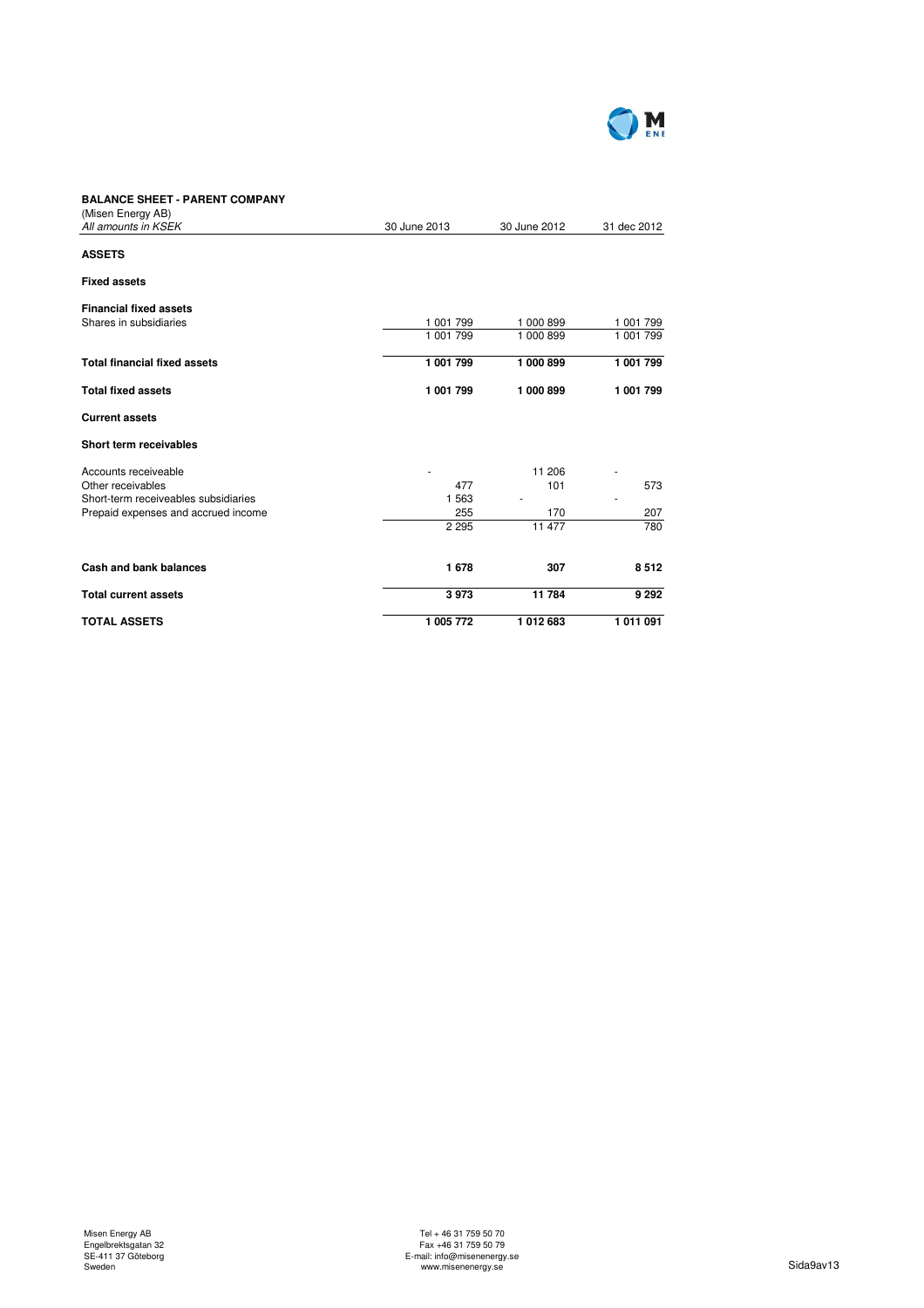

## **BALANCE SHEET - PARENT COMPANY**

| <b>Current assets</b>                |           |         |         |
|--------------------------------------|-----------|---------|---------|
| Short term receivables               |           |         |         |
| Accounts receiveable                 |           | 11 206  |         |
| Other receivables                    | 477       | 101     | 573     |
| Short-term receiveables subsidiaries | 1 5 6 3   |         |         |
| Prepaid expenses and accrued income  | 255       | 170     | 207     |
|                                      | 2 2 9 5   | 11 477  | 780     |
| Cash and bank balances               | 1678      | 307     | 8512    |
| <b>Total current assets</b>          | 3973      | 11784   | 9 2 9 2 |
| <b>TOTAL ASSETS</b>                  | 1 005 772 | 1012683 | 1011091 |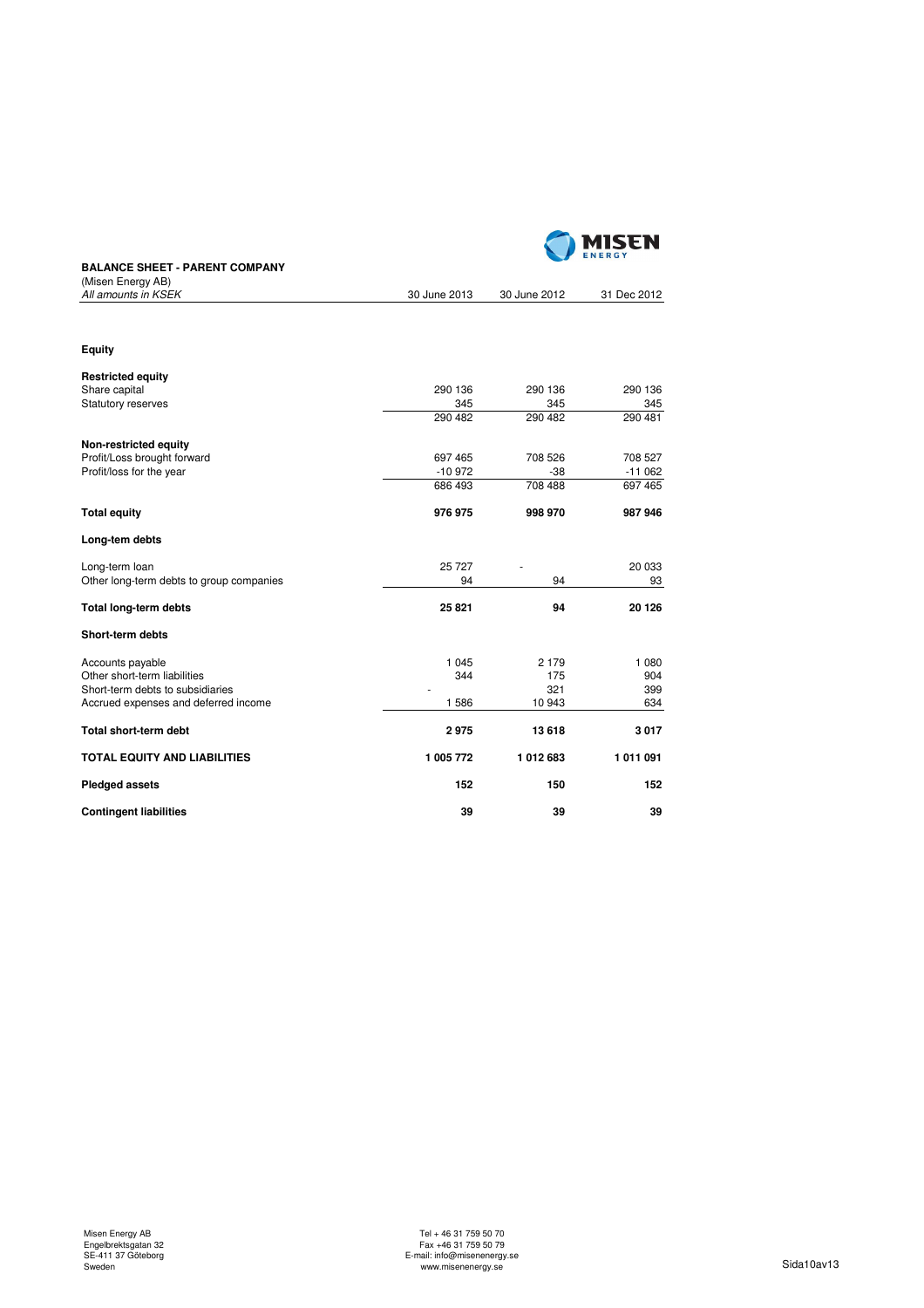

## **BALANCE SHEET - PARENT COMPANY**

| (Misen Energy AB)                        |              |              |             |
|------------------------------------------|--------------|--------------|-------------|
| All amounts in KSEK                      | 30 June 2013 | 30 June 2012 | 31 Dec 2012 |
|                                          |              |              |             |
| Equity                                   |              |              |             |
| <b>Restricted equity</b>                 |              |              |             |
| Share capital                            | 290 136      | 290 136      | 290 136     |
| <b>Statutory reserves</b>                | 345          | 345          | 345         |
|                                          | 290 482      | 290 482      | 290 481     |
| Non-restricted equity                    |              |              |             |
| Profit/Loss brought forward              | 697 465      | 708 526      | 708 527     |
| Profit/loss for the year                 | $-10972$     | $-38$        | $-11062$    |
|                                          | 686 493      | 708 488      | 697 465     |
| <b>Total equity</b>                      | 976 975      | 998 970      | 987 946     |
| Long-tem debts                           |              |              |             |
| Long-term loan                           | 25 7 27      |              | 20 033      |
| Other long-term debts to group companies | 94           | 94           | 93          |
| <b>Total long-term debts</b>             | 25 8 21      | 94           | 20 126      |
| Short-term debts                         |              |              |             |
| Accounts payable                         | 1 0 4 5      | 2 1 7 9      | 1 0 8 0     |
| Other short-term liabilities             | 344          | 175          | 904         |
| Short-term debts to subsidiaries         |              | 321          | 399         |
| Accrued expenses and deferred income     | 1586         | 10 943       | 634         |
| <b>Total short-term debt</b>             | 2975         | 13618        | 3017        |
| <b>TOTAL EQUITY AND LIABILITIES</b>      | 1 005 772    | 1012683      | 1011091     |
| <b>Pledged assets</b>                    | 152          | 150          | 152         |
| <b>Contingent liabilities</b>            | 39           | 39           | 39          |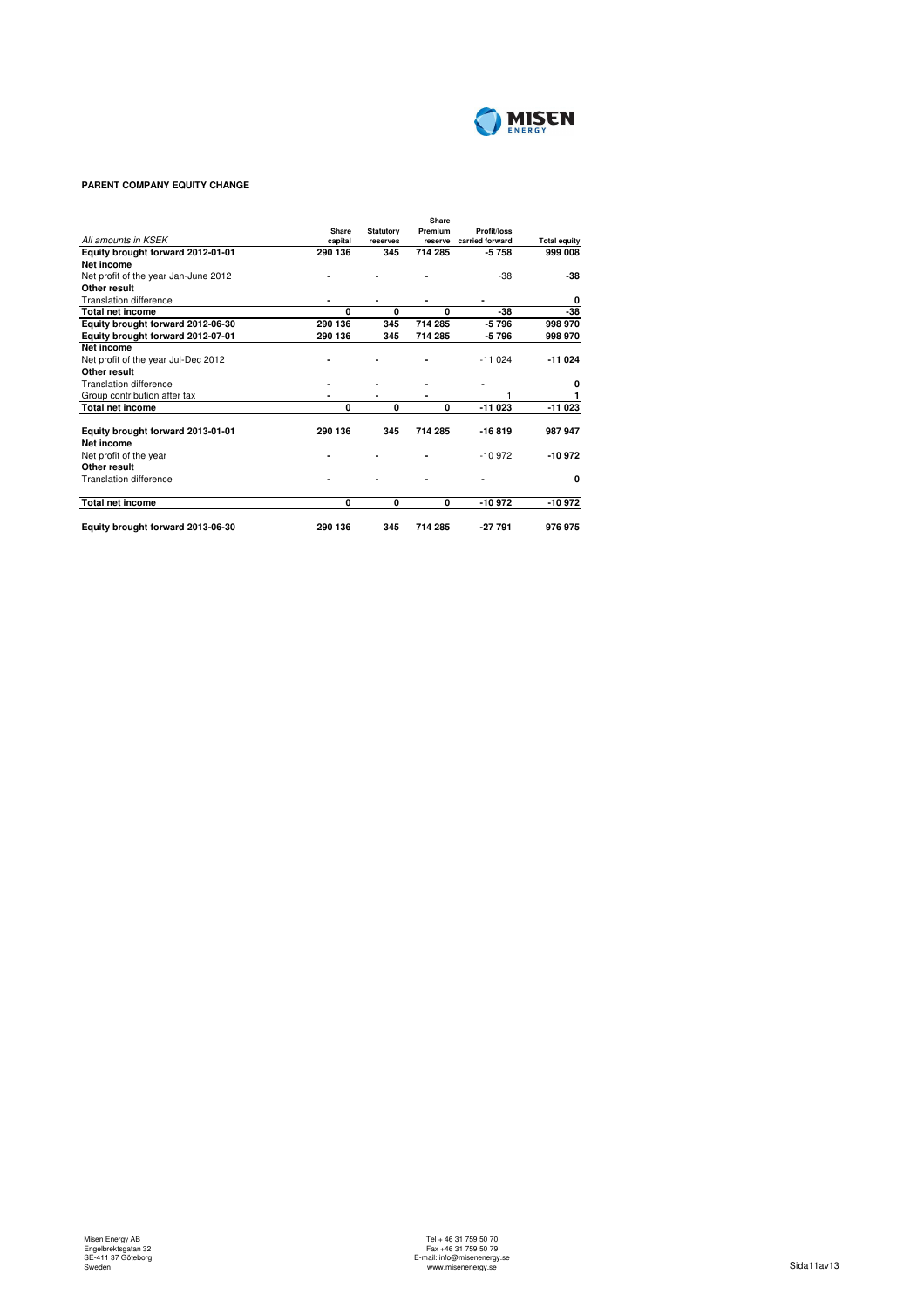

## **PARENT COMPANY EQUITY CHANGE**

|                                                 | Share   |                              | Share<br>Premium | Profit/loss     |                     |
|-------------------------------------------------|---------|------------------------------|------------------|-----------------|---------------------|
| All amounts in KSEK                             | capital | <b>Statutory</b><br>reserves | reserve          | carried forward | <b>Total equity</b> |
| Equity brought forward 2012-01-01               | 290 136 | 345                          | 714 285          | $-5758$         | 999 008             |
| Net income                                      |         |                              |                  |                 |                     |
| Net profit of the year Jan-June 2012            |         |                              |                  | $-38$           | $-38$               |
| Other result                                    |         |                              |                  |                 |                     |
| <b>Translation difference</b>                   |         |                              |                  |                 | 0                   |
| <b>Total net income</b>                         | U       | O                            | O                | $-38$           | $-38$               |
| Equity brought forward 2012-06-30               | 290 136 | 345                          | 714 285          | $-5796$         | 998 970             |
| Equity brought forward 2012-07-01               | 290 136 | 345                          | 714 285          | $-5796$         | 998 970             |
| <b>Net income</b>                               |         |                              |                  |                 |                     |
| Net profit of the year Jul-Dec 2012             |         |                              |                  | $-11024$        | $-11024$            |
| Other result                                    |         |                              |                  |                 |                     |
| Translation difference                          |         |                              |                  |                 | 0                   |
| Group contribution after tax                    |         |                              |                  |                 |                     |
| <b>Total net income</b>                         | 0       | 0                            | 0                | $-11023$        | -11 023             |
| Equity brought forward 2013-01-01<br>Net income | 290 136 | 345                          | 714 285          | $-16819$        | 987 947             |
| Net profit of the year                          |         |                              |                  | $-10.972$       | $-10972$            |
| Other result                                    |         |                              |                  |                 |                     |
| Translation difference                          |         |                              |                  |                 | 0                   |
| <b>Total net income</b>                         | 0       | 0                            | 0                | $-10972$        | -10972              |
| Equity brought forward 2013-06-30               | 290 136 | 345                          | 714 285          | $-27791$        | 976 975             |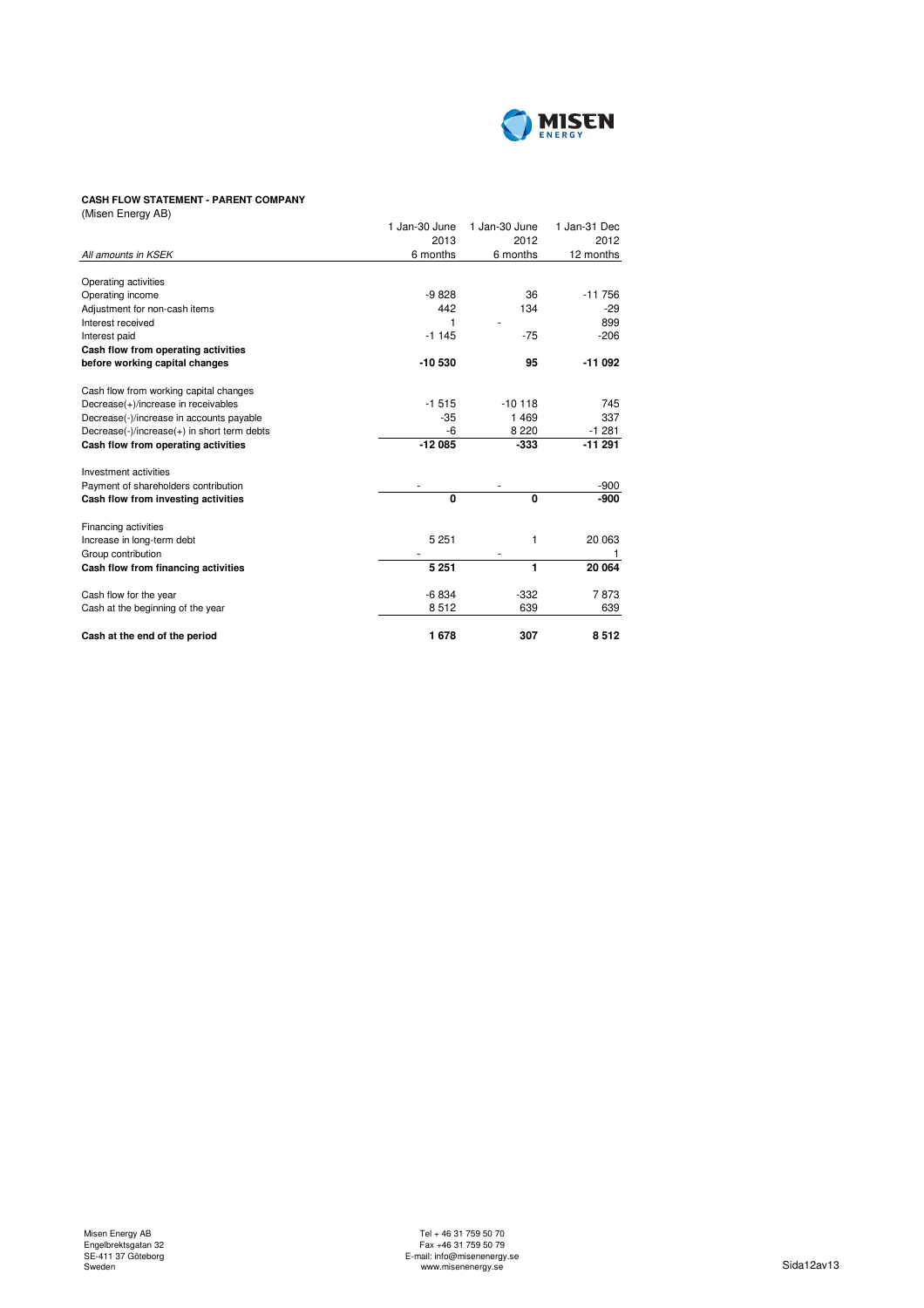

# **CASH FLOW STATEMENT - PARENT COMPANY**

| (Misen Energy AB)                           |               |               |              |
|---------------------------------------------|---------------|---------------|--------------|
|                                             | 1 Jan-30 June | 1 Jan-30 June | 1 Jan-31 Dec |
|                                             | 2013          | 2012          | 2012         |
| All amounts in KSEK                         | 6 months      | 6 months      | 12 months    |
|                                             |               |               |              |
| Operating activities                        |               |               |              |
| Operating income                            | $-9828$       | 36            | $-11756$     |
| Adjustment for non-cash items               | 442           | 134           | $-29$        |
| Interest received                           | 1             |               | 899          |
| Interest paid                               | $-1145$       | $-75$         | $-206$       |
| Cash flow from operating activities         |               |               |              |
| before working capital changes              | $-10530$      | 95            | $-11092$     |
| Cash flow from working capital changes      |               |               |              |
| Decrease(+)/increase in receivables         | $-1515$       | $-10118$      | 745          |
| Decrease(-)/increase in accounts payable    | $-35$         | 1469          | 337          |
| Decrease(-)/increase(+) in short term debts | -6            | 8 2 2 0       | $-1281$      |
| Cash flow from operating activities         | $-12085$      | $-333$        | $-11291$     |
| Investment activities                       |               |               |              |
| Payment of shareholders contribution        |               |               | -900         |
| Cash flow from investing activities         | 0             | 0             | $-900$       |
| Financing activities                        |               |               |              |
| Increase in long-term debt                  | 5 2 5 1       | 1             | 20 063       |
| Group contribution                          |               |               |              |
| Cash flow from financing activities         | 5 2 5 1       | 1             | 20 064       |
| Cash flow for the year                      | $-6834$       | $-332$        | 7873         |
| Cash at the beginning of the year           | 8512          | 639           | 639          |
| Cash at the end of the period               | 1678          | 307           | 8512         |